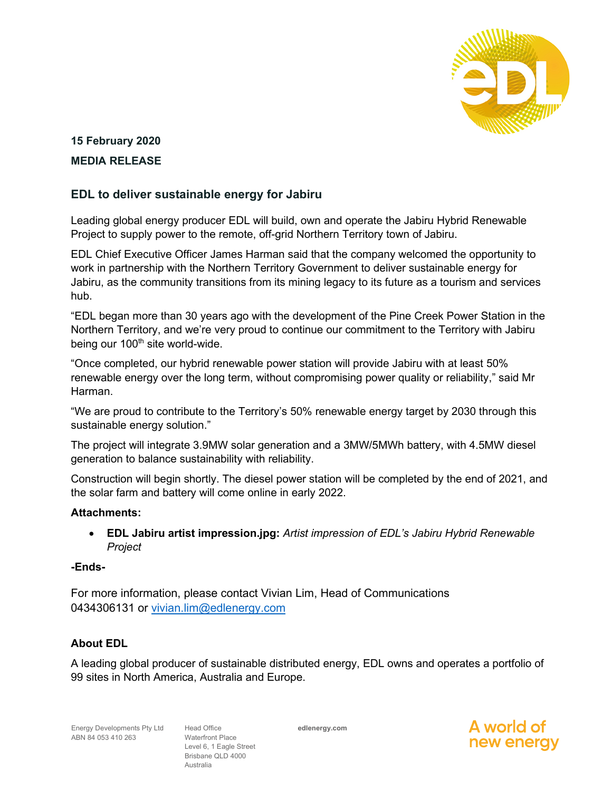

# **15 February 2020 MEDIA RELEASE**

## **EDL to deliver sustainable energy for Jabiru**

Leading global energy producer EDL will build, own and operate the Jabiru Hybrid Renewable Project to supply power to the remote, off-grid Northern Territory town of Jabiru.

EDL Chief Executive Officer James Harman said that the company welcomed the opportunity to work in partnership with the Northern Territory Government to deliver sustainable energy for Jabiru, as the community transitions from its mining legacy to its future as a tourism and services hub.

"EDL began more than 30 years ago with the development of the Pine Creek Power Station in the Northern Territory, and we're very proud to continue our commitment to the Territory with Jabiru being our 100<sup>th</sup> site world-wide.

"Once completed, our hybrid renewable power station will provide Jabiru with at least 50% renewable energy over the long term, without compromising power quality or reliability," said Mr Harman.

"We are proud to contribute to the Territory's 50% renewable energy target by 2030 through this sustainable energy solution."

The project will integrate 3.9MW solar generation and a 3MW/5MWh battery, with 4.5MW diesel generation to balance sustainability with reliability.

Construction will begin shortly. The diesel power station will be completed by the end of 2021, and the solar farm and battery will come online in early 2022.

#### **Attachments:**

• **EDL Jabiru artist impression.jpg:** *Artist impression of EDL's Jabiru Hybrid Renewable Project*

#### **-Ends-**

For more information, please contact Vivian Lim, Head of Communications 0434306131 or [vivian.lim@edlenergy.com](mailto:vivian.lim@edlenergy.com)

### **About EDL**

A leading global producer of sustainable distributed energy, EDL owns and operates a portfolio of 99 sites in North America, Australia and Europe.

Head Office Waterfront Place Level 6, 1 Eagle Street Brisbane QLD 4000 Australia

**edlenergy.com**

A world o